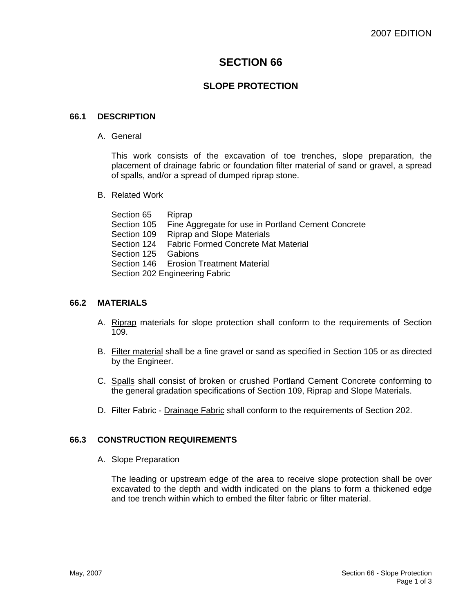# **SECTION 66**

# **SLOPE PROTECTION**

## **66.1 DESCRIPTION**

A. General

This work consists of the excavation of toe trenches, slope preparation, the placement of drainage fabric or foundation filter material of sand or gravel, a spread of spalls, and/or a spread of dumped riprap stone.

B. Related Work

Section 65 Riprap Section 105 Fine Aggregate for use in Portland Cement Concrete Section 109 Riprap and Slope Materials Section 124 Fabric Formed Concrete Mat Material Section 125 Gabions Section 146 Erosion Treatment Material Section 202 Engineering Fabric

#### **66.2 MATERIALS**

- A. Riprap materials for slope protection shall conform to the requirements of Section 109.
- B. Filter material shall be a fine gravel or sand as specified in Section 105 or as directed by the Engineer.
- C. Spalls shall consist of broken or crushed Portland Cement Concrete conforming to the general gradation specifications of Section 109, Riprap and Slope Materials.
- D. Filter Fabric Drainage Fabric shall conform to the requirements of Section 202.

#### **66.3 CONSTRUCTION REQUIREMENTS**

A. Slope Preparation

The leading or upstream edge of the area to receive slope protection shall be over excavated to the depth and width indicated on the plans to form a thickened edge and toe trench within which to embed the filter fabric or filter material.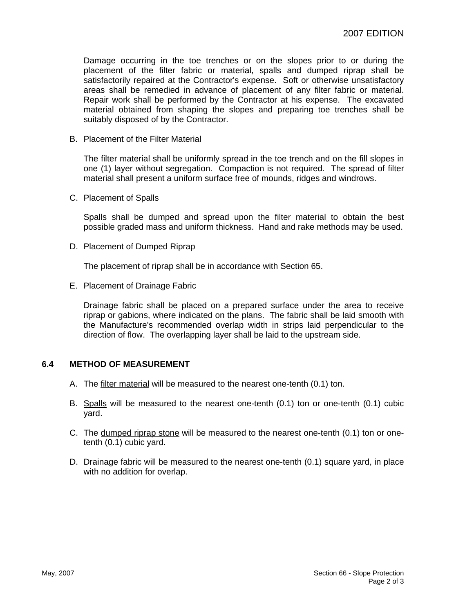Damage occurring in the toe trenches or on the slopes prior to or during the placement of the filter fabric or material, spalls and dumped riprap shall be satisfactorily repaired at the Contractor's expense. Soft or otherwise unsatisfactory areas shall be remedied in advance of placement of any filter fabric or material. Repair work shall be performed by the Contractor at his expense. The excavated material obtained from shaping the slopes and preparing toe trenches shall be suitably disposed of by the Contractor.

B. Placement of the Filter Material

The filter material shall be uniformly spread in the toe trench and on the fill slopes in one (1) layer without segregation. Compaction is not required. The spread of filter material shall present a uniform surface free of mounds, ridges and windrows.

C. Placement of Spalls

Spalls shall be dumped and spread upon the filter material to obtain the best possible graded mass and uniform thickness. Hand and rake methods may be used.

D. Placement of Dumped Riprap

The placement of riprap shall be in accordance with Section 65.

E. Placement of Drainage Fabric

Drainage fabric shall be placed on a prepared surface under the area to receive riprap or gabions, where indicated on the plans. The fabric shall be laid smooth with the Manufacture's recommended overlap width in strips laid perpendicular to the direction of flow. The overlapping layer shall be laid to the upstream side.

#### **6.4 METHOD OF MEASUREMENT**

- A. The filter material will be measured to the nearest one-tenth (0.1) ton.
- B. Spalls will be measured to the nearest one-tenth (0.1) ton or one-tenth (0.1) cubic yard.
- C. The dumped riprap stone will be measured to the nearest one-tenth (0.1) ton or onetenth (0.1) cubic yard.
- D. Drainage fabric will be measured to the nearest one-tenth (0.1) square yard, in place with no addition for overlap.